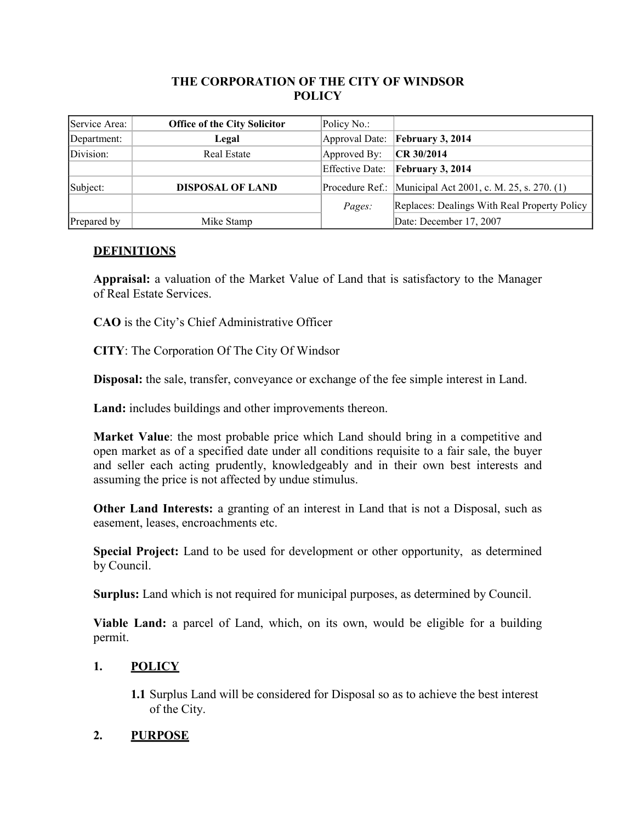## **THE CORPORATION OF THE CITY OF WINDSOR POLICY**

| Service Area: | <b>Office of the City Solicitor</b> | Policy No.:     |                                                             |
|---------------|-------------------------------------|-----------------|-------------------------------------------------------------|
| Department:   | Legal                               |                 | Approval Date: February 3, 2014                             |
| Division:     | Real Estate                         | Approved By:    | CR 30/2014                                                  |
|               |                                     | Effective Date: | February 3, 2014                                            |
| Subject:      | <b>DISPOSAL OF LAND</b>             |                 | Procedure Ref.: Municipal Act 2001, c. M. 25, s. 270. $(1)$ |
|               |                                     | Pages:          | Replaces: Dealings With Real Property Policy                |
| Prepared by   | Mike Stamp                          |                 | Date: December 17, 2007                                     |

# **DEFINITIONS**

**Appraisal:** a valuation of the Market Value of Land that is satisfactory to the Manager of Real Estate Services.

**CAO** is the City's Chief Administrative Officer

**CITY**: The Corporation Of The City Of Windsor

**Disposal:** the sale, transfer, conveyance or exchange of the fee simple interest in Land.

**Land:** includes buildings and other improvements thereon.

**Market Value**: the most probable price which Land should bring in a competitive and open market as of a specified date under all conditions requisite to a fair sale, the buyer and seller each acting prudently, knowledgeably and in their own best interests and assuming the price is not affected by undue stimulus.

**Other Land Interests:** a granting of an interest in Land that is not a Disposal, such as easement, leases, encroachments etc.

**Special Project:** Land to be used for development or other opportunity, as determined by Council.

**Surplus:** Land which is not required for municipal purposes, as determined by Council.

**Viable Land:** a parcel of Land, which, on its own, would be eligible for a building permit.

## **1. POLICY**

**1.1** Surplus Land will be considered for Disposal so as to achieve the best interest of the City.

## **2. PURPOSE**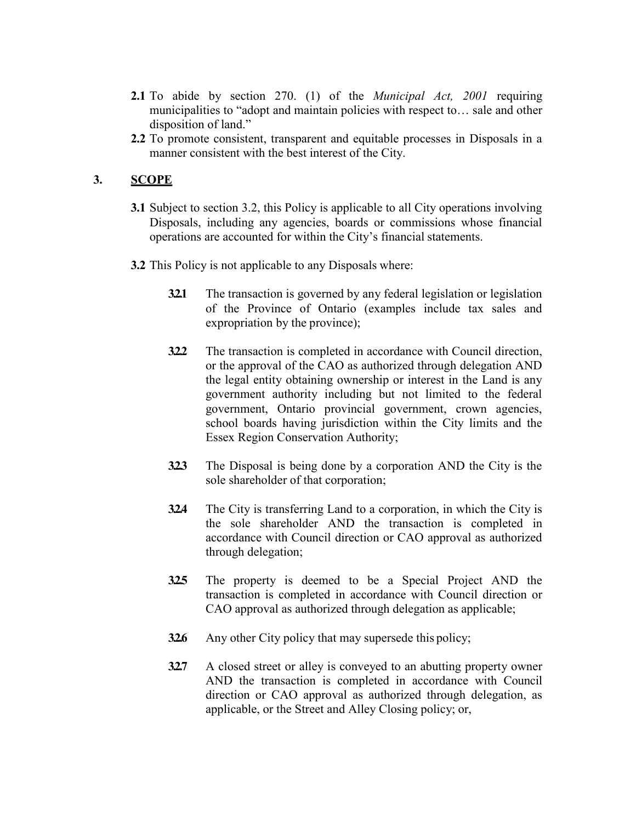- **2.1** To abide by section 270. (1) of the *Municipal Act, 2001* requiring municipalities to "adopt and maintain policies with respect to… sale and other disposition of land."
- **2.2** To promote consistent, transparent and equitable processes in Disposals in a manner consistent with the best interest of the City.

### **3. SCOPE**

- **3.1** Subject to section 3.2, this Policy is applicable to all City operations involving Disposals, including any agencies, boards or commissions whose financial operations are accounted for within the City's financial statements.
- **3.2** This Policy is not applicable to any Disposals where:
	- **3.2.1** The transaction is governed by any federal legislation or legislation of the Province of Ontario (examples include tax sales and expropriation by the province);
	- **322** The transaction is completed in accordance with Council direction, or the approval of the CAO as authorized through delegation AND the legal entity obtaining ownership or interest in the Land is any government authority including but not limited to the federal government, Ontario provincial government, crown agencies, school boards having jurisdiction within the City limits and the Essex Region Conservation Authority;
	- **3.2.3** The Disposal is being done by a corporation AND the City is the sole shareholder of that corporation;
	- **3.2.4** The City is transferring Land to a corporation, in which the City is the sole shareholder AND the transaction is completed in accordance with Council direction or CAO approval as authorized through delegation;
	- **3.2.5** The property is deemed to be a Special Project AND the transaction is completed in accordance with Council direction or CAO approval as authorized through delegation as applicable;
	- **32.6** Any other City policy that may supersede this policy;
	- **3.2.7** A closed street or alley is conveyed to an abutting property owner AND the transaction is completed in accordance with Council direction or CAO approval as authorized through delegation, as applicable, or the Street and Alley Closing policy; or,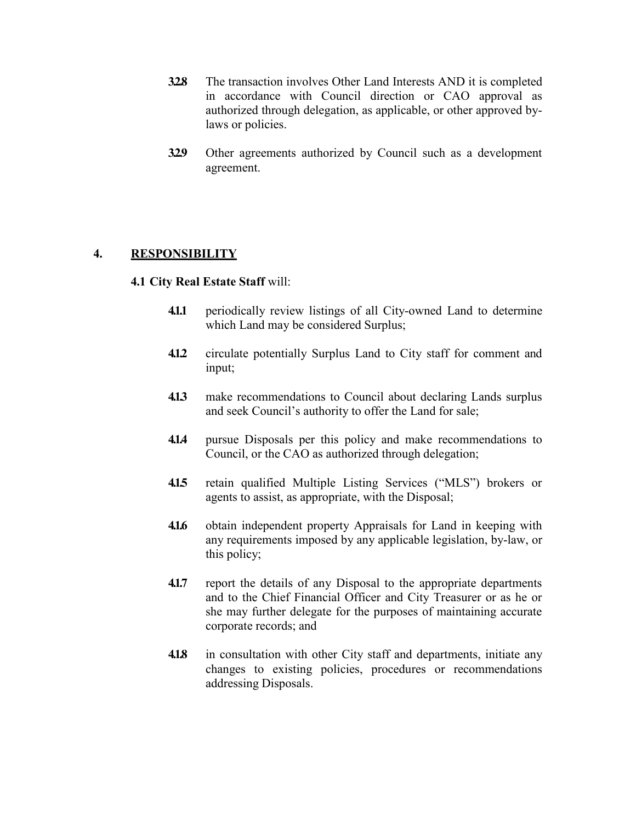- **3.2.8** The transaction involves Other Land Interests AND it is completed in accordance with Council direction or CAO approval as authorized through delegation, as applicable, or other approved bylaws or policies.
- **3.2.9** Other agreements authorized by Council such as a development agreement.

## **4. RESPONSIBILITY**

#### **4.1 City Real Estate Staff** will:

- **4.1.1** periodically review listings of all City-owned Land to determine which Land may be considered Surplus;
- **4.1.2** circulate potentially Surplus Land to City staff for comment and input;
- **4.1.3** make recommendations to Council about declaring Lands surplus and seek Council's authority to offer the Land for sale;
- **4.1.4** pursue Disposals per this policy and make recommendations to Council, or the CAO as authorized through delegation;
- **4.1.5** retain qualified Multiple Listing Services ("MLS") brokers or agents to assist, as appropriate, with the Disposal;
- **4.1.6** obtain independent property Appraisals for Land in keeping with any requirements imposed by any applicable legislation, by-law, or this policy;
- **4.1.7** report the details of any Disposal to the appropriate departments and to the Chief Financial Officer and City Treasurer or as he or she may further delegate for the purposes of maintaining accurate corporate records; and
- **4.1.8** in consultation with other City staff and departments, initiate any changes to existing policies, procedures or recommendations addressing Disposals.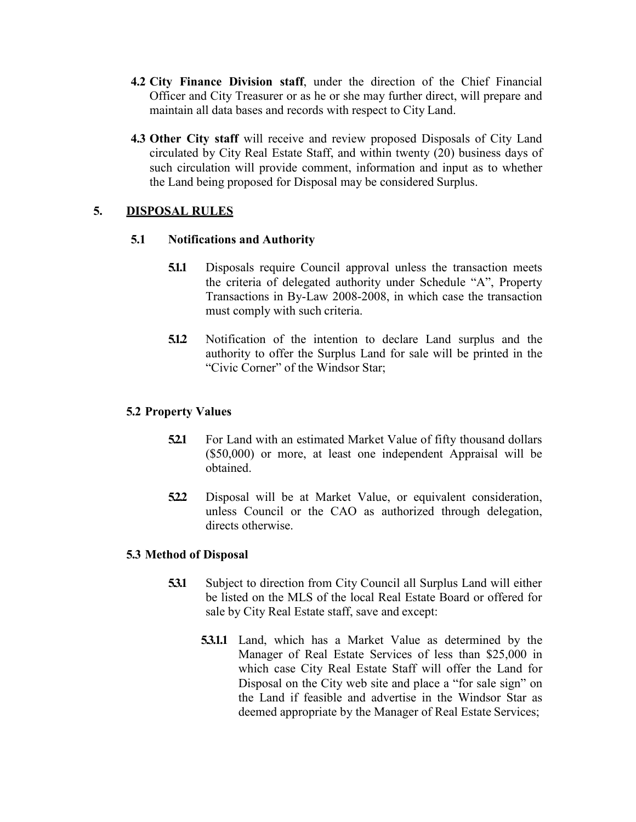- **4.2 City Finance Division staff**, under the direction of the Chief Financial Officer and City Treasurer or as he or she may further direct, will prepare and maintain all data bases and records with respect to City Land.
- **4.3 Other City staff** will receive and review proposed Disposals of City Land circulated by City Real Estate Staff, and within twenty (20) business days of such circulation will provide comment, information and input as to whether the Land being proposed for Disposal may be considered Surplus.

## **5. DISPOSAL RULES**

### **5.1 Notifications and Authority**

- **5.1.1** Disposals require Council approval unless the transaction meets the criteria of delegated authority under Schedule "A", Property Transactions in By-Law 2008-2008, in which case the transaction must comply with such criteria.
- **5.1.2** Notification of the intention to declare Land surplus and the authority to offer the Surplus Land for sale will be printed in the "Civic Corner" of the Windsor Star;

## **5.2 Property Values**

- **52.1** For Land with an estimated Market Value of fifty thousand dollars (\$50,000) or more, at least one independent Appraisal will be obtained.
- **5.2.2** Disposal will be at Market Value, or equivalent consideration, unless Council or the CAO as authorized through delegation, directs otherwise.

#### **5.3 Method of Disposal**

- **5.3.1** Subject to direction from City Council all Surplus Land will either be listed on the MLS of the local Real Estate Board or offered for sale by City Real Estate staff, save and except:
	- **5.3.1.1** Land, which has a Market Value as determined by the Manager of Real Estate Services of less than \$25,000 in which case City Real Estate Staff will offer the Land for Disposal on the City web site and place a "for sale sign" on the Land if feasible and advertise in the Windsor Star as deemed appropriate by the Manager of Real Estate Services;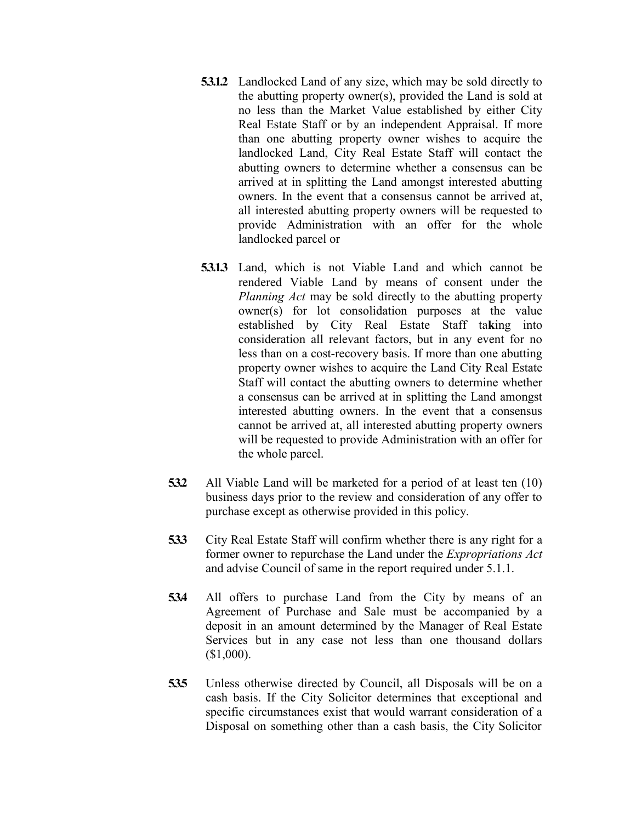- **5.3.1.2** Landlocked Land of any size, which may be sold directly to the abutting property owner(s), provided the Land is sold at no less than the Market Value established by either City Real Estate Staff or by an independent Appraisal. If more than one abutting property owner wishes to acquire the landlocked Land, City Real Estate Staff will contact the abutting owners to determine whether a consensus can be arrived at in splitting the Land amongst interested abutting owners. In the event that a consensus cannot be arrived at, all interested abutting property owners will be requested to provide Administration with an offer for the whole landlocked parcel or
- **5.3.1.3** Land, which is not Viable Land and which cannot be rendered Viable Land by means of consent under the *Planning Act* may be sold directly to the abutting property owner(s) for lot consolidation purposes at the value established by City Real Estate Staff ta**k**ing into consideration all relevant factors, but in any event for no less than on a cost-recovery basis. If more than one abutting property owner wishes to acquire the Land City Real Estate Staff will contact the abutting owners to determine whether a consensus can be arrived at in splitting the Land amongst interested abutting owners. In the event that a consensus cannot be arrived at, all interested abutting property owners will be requested to provide Administration with an offer for the whole parcel.
- **5.3.2** All Viable Land will be marketed for a period of at least ten (10) business days prior to the review and consideration of any offer to purchase except as otherwise provided in this policy.
- **5.3.3** City Real Estate Staff will confirm whether there is any right for a former owner to repurchase the Land under the *Expropriations Act*  and advise Council of same in the report required under 5.1.1.
- **5.3.4** All offers to purchase Land from the City by means of an Agreement of Purchase and Sale must be accompanied by a deposit in an amount determined by the Manager of Real Estate Services but in any case not less than one thousand dollars (\$1,000).
- **5.3.5** Unless otherwise directed by Council, all Disposals will be on a cash basis. If the City Solicitor determines that exceptional and specific circumstances exist that would warrant consideration of a Disposal on something other than a cash basis, the City Solicitor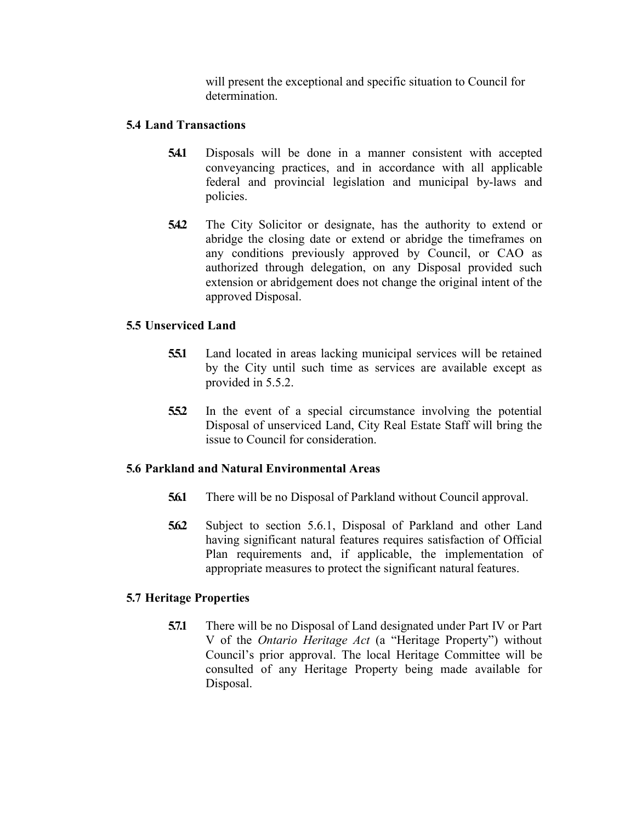will present the exceptional and specific situation to Council for determination.

## **5.4 Land Transactions**

- **5.4.1** Disposals will be done in a manner consistent with accepted conveyancing practices, and in accordance with all applicable federal and provincial legislation and municipal by-laws and policies.
- **5.4.2** The City Solicitor or designate, has the authority to extend or abridge the closing date or extend or abridge the timeframes on any conditions previously approved by Council, or CAO as authorized through delegation, on any Disposal provided such extension or abridgement does not change the original intent of the approved Disposal.

## **5.5 Unserviced Land**

- **5.5.1** Land located in areas lacking municipal services will be retained by the City until such time as services are available except as provided in 5.5.2.
- **5.5.2** In the event of a special circumstance involving the potential Disposal of unserviced Land, City Real Estate Staff will bring the issue to Council for consideration.

## **5.6 Parkland and Natural Environmental Areas**

- **5.6.1** There will be no Disposal of Parkland without Council approval.
- **5.6.2** Subject to section 5.6.1, Disposal of Parkland and other Land having significant natural features requires satisfaction of Official Plan requirements and, if applicable, the implementation of appropriate measures to protect the significant natural features.

## **5.7 Heritage Properties**

**5.7.1** There will be no Disposal of Land designated under Part IV or Part V of the *Ontario Heritage Act* (a "Heritage Property") without Council's prior approval. The local Heritage Committee will be consulted of any Heritage Property being made available for Disposal.